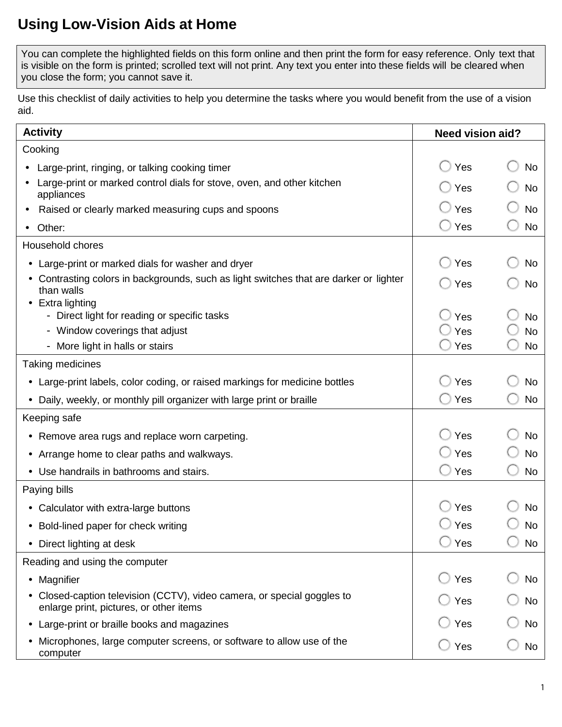## **Using Low-Vision Aids at Home**

 You can complete the highlighted fields on this form online and then print the form for easy reference. Only text that is visible on the form is printed; scrolled text will not print. Any text you enter into these fields will be cleared when you close the form; you cannot save it.

 Use this checklist of daily activities to help you determine the tasks where you would benefit from the use of a vision aid.

| <b>Activity</b>                                                                                                    | <b>Need vision aid?</b> |           |
|--------------------------------------------------------------------------------------------------------------------|-------------------------|-----------|
| Cooking                                                                                                            |                         |           |
| Large-print, ringing, or talking cooking timer                                                                     | Yes                     | No        |
| Large-print or marked control dials for stove, oven, and other kitchen<br>appliances                               | Yes                     | No        |
| Raised or clearly marked measuring cups and spoons                                                                 | Yes                     | <b>No</b> |
| Other:                                                                                                             | Yes                     | <b>No</b> |
| Household chores                                                                                                   |                         |           |
| • Large-print or marked dials for washer and dryer                                                                 | Yes                     | No        |
| • Contrasting colors in backgrounds, such as light switches that are darker or lighter<br>than walls               | Yes                     | No        |
| • Extra lighting<br>- Direct light for reading or specific tasks                                                   | Yes                     | <b>No</b> |
| - Window coverings that adjust                                                                                     | Yes                     | <b>No</b> |
| - More light in halls or stairs                                                                                    | Yes                     | <b>No</b> |
| Taking medicines                                                                                                   |                         |           |
| • Large-print labels, color coding, or raised markings for medicine bottles                                        | Yes                     | No        |
| Daily, weekly, or monthly pill organizer with large print or braille<br>$\bullet$                                  | ◯ Yes                   | <b>No</b> |
| Keeping safe                                                                                                       |                         |           |
| • Remove area rugs and replace worn carpeting.                                                                     | Yes                     | No        |
| • Arrange home to clear paths and walkways.                                                                        | Yes                     | <b>No</b> |
| • Use handrails in bathrooms and stairs.                                                                           | $\cup$ Yes              | <b>No</b> |
| Paying bills                                                                                                       |                         |           |
| • Calculator with extra-large buttons                                                                              | Yes                     | No        |
| • Bold-lined paper for check writing                                                                               | Yes                     | No        |
| Direct lighting at desk                                                                                            | Yes                     | No        |
| Reading and using the computer                                                                                     |                         |           |
| • Magnifier                                                                                                        | Yes                     | <b>No</b> |
| • Closed-caption television (CCTV), video camera, or special goggles to<br>enlarge print, pictures, or other items | Yes                     | No        |
| Large-print or braille books and magazines<br>$\bullet$                                                            | Yes                     | No        |
| Microphones, large computer screens, or software to allow use of the<br>computer                                   | Yes                     | No        |